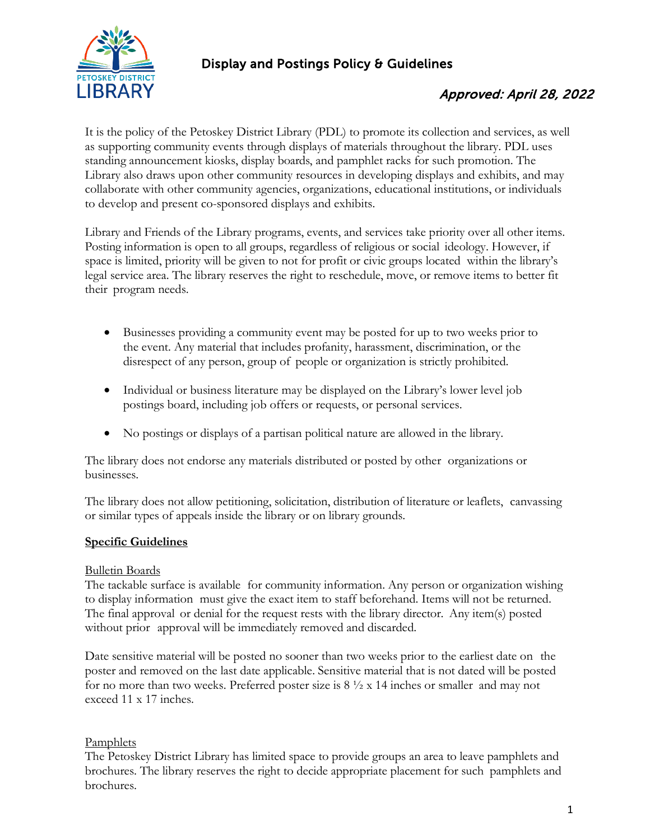

### Display and Postings Policy & Guidelines

## Approved: April 28, 2022

It is the policy of the Petoskey District Library (PDL) to promote its collection and services, as well as supporting community events through displays of materials throughout the library. PDL uses standing announcement kiosks, display boards, and pamphlet racks for such promotion. The Library also draws upon other community resources in developing displays and exhibits, and may collaborate with other community agencies, organizations, educational institutions, or individuals to develop and present co-sponsored displays and exhibits.

Library and Friends of the Library programs, events, and services take priority over all other items. Posting information is open to all groups, regardless of religious or social ideology. However, if space is limited, priority will be given to not for profit or civic groups located within the library's legal service area. The library reserves the right to reschedule, move, or remove items to better fit their program needs.

- Businesses providing a community event may be posted for up to two weeks prior to the event. Any material that includes profanity, harassment, discrimination, or the disrespect of any person, group of people or organization is strictly prohibited.
- Individual or business literature may be displayed on the Library's lower level job postings board, including job offers or requests, or personal services.
- No postings or displays of a partisan political nature are allowed in the library.

The library does not endorse any materials distributed or posted by other organizations or businesses.

The library does not allow petitioning, solicitation, distribution of literature or leaflets, canvassing or similar types of appeals inside the library or on library grounds.

### **Specific Guidelines**

#### Bulletin Boards

The tackable surface is available for community information. Any person or organization wishing to display information must give the exact item to staff beforehand. Items will not be returned. The final approval or denial for the request rests with the library director. Any item(s) posted without prior approval will be immediately removed and discarded.

Date sensitive material will be posted no sooner than two weeks prior to the earliest date on the poster and removed on the last date applicable. Sensitive material that is not dated will be posted for no more than two weeks. Preferred poster size is  $8\frac{1}{2} \times 14$  inches or smaller and may not exceed 11 x 17 inches.

#### **Pamphlets**

The Petoskey District Library has limited space to provide groups an area to leave pamphlets and brochures. The library reserves the right to decide appropriate placement for such pamphlets and brochures.